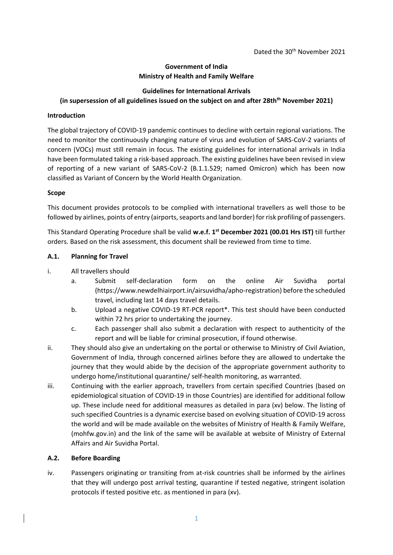### **Government of India Ministry of Health and Family Welfare**

## **Guidelines for International Arrivals**

# **(in supersession of all guidelines issued on the subject on and after 28thth November 2021)**

#### **Introduction**

The global trajectory of COVID-19 pandemic continues to decline with certain regional variations. The need to monitor the continuously changing nature of virus and evolution of SARS-CoV-2 variants of concern (VOCs) must still remain in focus. The existing guidelines for international arrivals in India have been formulated taking a risk-based approach. The existing guidelines have been revised in view of reporting of a new variant of SARS-CoV-2 (B.1.1.529; named Omicron) which has been now classified as Variant of Concern by the World Health Organization.

#### **Scope**

This document provides protocols to be complied with international travellers as well those to be followed by airlines, points of entry (airports, seaports and land border) for risk profiling of passengers.

This Standard Operating Procedure shall be valid **w.e.f. 1 st December 2021 (00.01 Hrs IST)** till further orders. Based on the risk assessment, this document shall be reviewed from time to time.

#### **A.1. Planning for Travel**

- i. All travellers should
	- a. Submit self-declaration form on the online Air Suvidha portal (https://www.newdelhiairport.in/airsuvidha/apho-registration) before the scheduled travel, including last 14 days travel details.
	- b. Upload a negative COVID-19 RT-PCR report\*. This test should have been conducted within 72 hrs prior to undertaking the journey.
	- c. Each passenger shall also submit a declaration with respect to authenticity of the report and will be liable for criminal prosecution, if found otherwise.
- ii. They should also give an undertaking on the portal or otherwise to Ministry of Civil Aviation, Government of India, through concerned airlines before they are allowed to undertake the journey that they would abide by the decision of the appropriate government authority to undergo home/institutional quarantine/ self-health monitoring, as warranted.
- iii. Continuing with the earlier approach, travellers from certain specified Countries (based on epidemiological situation of COVID-19 in those Countries) are identified for additional follow up. These include need for additional measures as detailed in para (xv) below. The listing of such specified Countries is a dynamic exercise based on evolving situation of COVID-19 across the world and will be made available on the websites of Ministry of Health & Family Welfare, (mohfw.gov.in) and the link of the same will be available at website of Ministry of External Affairs and Air Suvidha Portal.

#### **A.2. Before Boarding**

iv. Passengers originating or transiting from at-risk countries shall be informed by the airlines that they will undergo post arrival testing, quarantine if tested negative, stringent isolation protocols if tested positive etc. as mentioned in para (xv).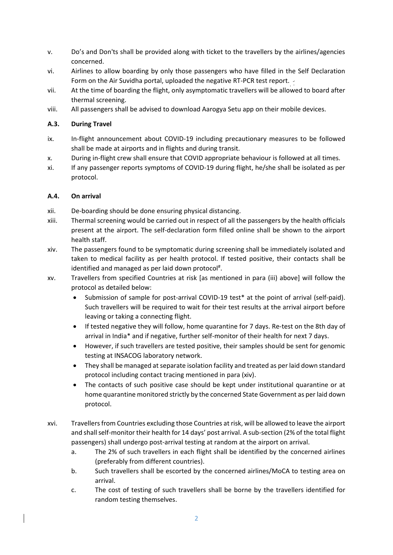- v. Do's and Don'ts shall be provided along with ticket to the travellers by the airlines/agencies concerned.
- vi. Airlines to allow boarding by only those passengers who have filled in the Self Declaration Form on the Air Suvidha portal, uploaded the negative RT-PCR test report.
- vii. At the time of boarding the flight, only asymptomatic travellers will be allowed to board after thermal screening.
- viii. All passengers shall be advised to download Aarogya Setu app on their mobile devices.

### **A.3. During Travel**

- ix. In-flight announcement about COVID-19 including precautionary measures to be followed shall be made at airports and in flights and during transit.
- x. During in-flight crew shall ensure that COVID appropriate behaviour is followed at all times.
- xi. If any passenger reports symptoms of COVID-19 during flight, he/she shall be isolated as per protocol.

### **A.4. On arrival**

- xii. De-boarding should be done ensuring physical distancing.
- xiii. Thermal screening would be carried out in respect of all the passengers by the health officials present at the airport. The self-declaration form filled online shall be shown to the airport health staff.
- xiv. The passengers found to be symptomatic during screening shall be immediately isolated and taken to medical facility as per health protocol. If tested positive, their contacts shall be identified and managed as per laid down protocol<sup>#</sup>.
- xv. Travellers from specified Countries at risk [as mentioned in para (iii) above] will follow the protocol as detailed below:
	- Submission of sample for post-arrival COVID-19 test\* at the point of arrival (self-paid). Such travellers will be required to wait for their test results at the arrival airport before leaving or taking a connecting flight.
	- If tested negative they will follow, home quarantine for 7 days. Re-test on the 8th day of arrival in India\* and if negative, further self-monitor of their health for next 7 days.
	- However, if such travellers are tested positive, their samples should be sent for genomic testing at INSACOG laboratory network.
	- They shall be managed at separate isolation facility and treated as per laid down standard protocol including contact tracing mentioned in para (xiv).
	- The contacts of such positive case should be kept under institutional quarantine or at home quarantine monitored strictly by the concerned State Government as per laid down protocol.
- xvi. Travellers from Countries excluding those Countries at risk, will be allowed to leave the airport and shall self-monitor their health for 14 days' post arrival. A sub-section (2% of the total flight passengers) shall undergo post-arrival testing at random at the airport on arrival.
	- a. The 2% of such travellers in each flight shall be identified by the concerned airlines (preferably from different countries).
	- b. Such travellers shall be escorted by the concerned airlines/MoCA to testing area on arrival.
	- c. The cost of testing of such travellers shall be borne by the travellers identified for random testing themselves.